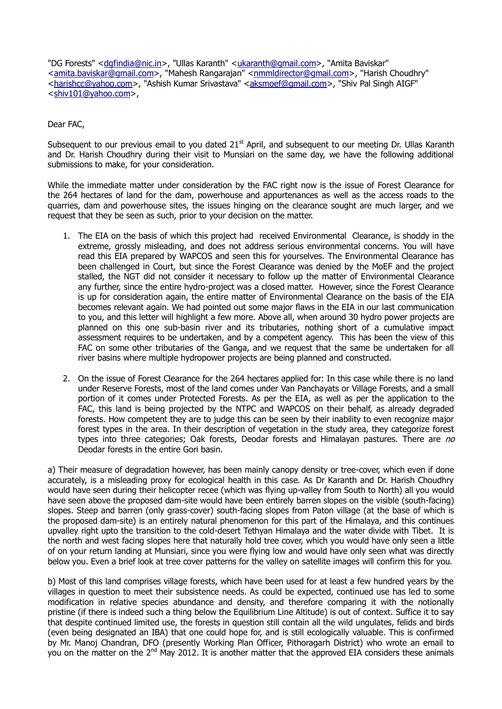"DG Forests" [<dgfindia@nic.in>](mailto:dgfindia@nic.in), "Ullas Karanth" [<ukaranth@gmail.com>](mailto:ukaranth@gmail.com), "Amita Baviskar" [<amita.baviskar@gmail.com>](mailto:amita.baviskar@gmail.com), "Mahesh Rangarajan" [<nmmldirector@gmail.com>](mailto:nmmldirector@gmail.com), "Harish Choudhrv" [<harishcc@yahoo.com>](mailto:harishcc@yahoo.com), "Ashish Kumar Srivastava" [<aksmoef@gmail.com>](mailto:aksmoef@gmail.com), "Shiv Pal Singh AIGF" [<shiv101@yahoo.com>](mailto:shiv101@yahoo.com),

Dear FAC,

Subsequent to our previous email to you dated 21<sup>st</sup> April, and subsequent to our meeting Dr. Ullas Karanth and Dr. Harish Choudhry during their visit to Munsiari on the same day, we have the following additional submissions to make, for your consideration.

While the immediate matter under consideration by the FAC right now is the issue of Forest Clearance for the 264 hectares of land for the dam, powerhouse and appurtenances as well as the access roads to the quarries, dam and powerhouse sites, the issues hinging on the clearance sought are much larger, and we request that they be seen as such, prior to your decision on the matter.

- 1. The EIA on the basis of which this project had received Environmental Clearance, is shoddy in the extreme, grossly misleading, and does not address serious environmental concerns. You will have read this EIA prepared by WAPCOS and seen this for yourselves. The Environmental Clearance has been challenged in Court, but since the Forest Clearance was denied by the MoEF and the project stalled, the NGT did not consider it necessary to follow up the matter of Environmental Clearance any further, since the entire hydro-project was a closed matter. However, since the Forest Clearance is up for consideration again, the entire matter of Environmental Clearance on the basis of the EIA becomes relevant again. We had pointed out some major flaws in the EIA in our last communication to you, and this letter will highlight a few more. Above all, when around 30 hydro power projects are planned on this one sub-basin river and its tributaries, nothing short of a cumulative impact assessment requires to be undertaken, and by a competent agency. This has been the view of this FAC on some other tributaries of the Ganga, and we request that the same be undertaken for all river basins where multiple hydropower projects are being planned and constructed.
- 2. On the issue of Forest Clearance for the 264 hectares applied for: In this case while there is no land under Reserve Forests, most of the land comes under Van Panchayats or Village Forests, and a small portion of it comes under Protected Forests. As per the EIA, as well as per the application to the FAC, this land is being projected by the NTPC and WAPCOS on their behalf, as already degraded forests. How competent they are to judge this can be seen by their inability to even recognize major forest types in the area. In their description of vegetation in the study area, they categorize forest types into three categories; Oak forests, Deodar forests and Himalayan pastures. There are no Deodar forests in the entire Gori basin.

a) Their measure of degradation however, has been mainly canopy density or tree-cover, which even if done accurately, is a misleading proxy for ecological health in this case. As Dr Karanth and Dr. Harish Choudhry would have seen during their helicopter recee (which was flying up-valley from South to North) all you would have seen above the proposed dam-site would have been entirely barren slopes on the visible (south-facing) slopes. Steep and barren (only grass-cover) south-facing slopes from Paton village (at the base of which is the proposed dam-site) is an entirely natural phenomenon for this part of the Himalaya, and this continues upvalley right upto the transition to the cold-desert Tethyan Himalaya and the water divide with Tibet. It is the north and west facing slopes here that naturally hold tree cover, which you would have only seen a little of on your return landing at Munsiari, since you were flying low and would have only seen what was directly below you. Even a brief look at tree cover patterns for the valley on satellite images will confirm this for you.

b) Most of this land comprises village forests, which have been used for at least a few hundred years by the villages in question to meet their subsistence needs. As could be expected, continued use has led to some modification in relative species abundance and density, and therefore comparing it with the notionally pristine (if there is indeed such a thing below the Equilibrium Line Altitude) is out of context. Suffice it to say that despite continued limited use, the forests in question still contain all the wild ungulates, felids and birds (even being designated an IBA) that one could hope for, and is still ecologically valuable. This is confirmed by Mr. Manoj Chandran, DFO (presently Working Plan Officer, Pithoragarh District) who wrote an email to you on the matter on the 2<sup>nd</sup> May 2012. It is another matter that the approved EIA considers these animals you on the matter on the 2<sup>nd</sup> May 2012. It is another matter that the approved EIA considers these animals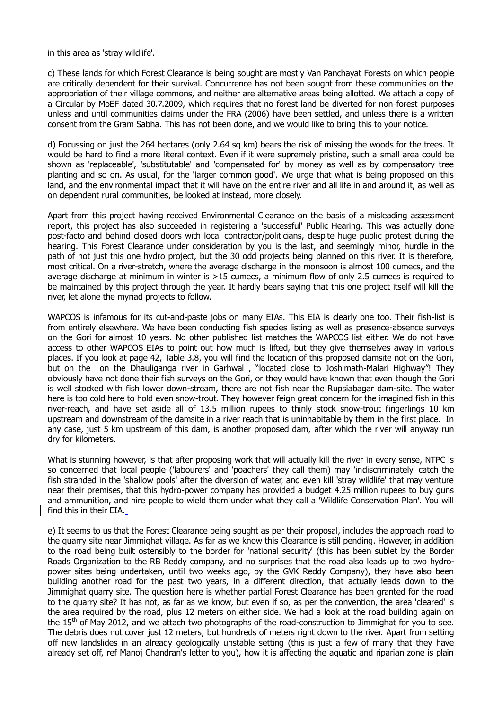in this area as 'stray wildlife'.

c) These lands for which Forest Clearance is being sought are mostly Van Panchayat Forests on which people are critically dependent for their survival. Concurrence has not been sought from these communities on the appropriation of their village commons, and neither are alternative areas being allotted. We attach a copy of a Circular by MoEF dated 30.7.2009, which requires that no forest land be diverted for non-forest purposes unless and until communities claims under the FRA (2006) have been settled, and unless there is a written consent from the Gram Sabha. This has not been done, and we would like to bring this to your notice.

d) Focussing on just the 264 hectares (only 2.64 sq km) bears the risk of missing the woods for the trees. It would be hard to find a more literal context. Even if it were supremely pristine, such a small area could be shown as 'replaceable', 'substitutable' and 'compensated for' by money as well as by compensatory tree planting and so on. As usual, for the 'larger common good'. We urge that what is being proposed on this land, and the environmental impact that it will have on the entire river and all life in and around it, as well as on dependent rural communities, be looked at instead, more closely.

Apart from this project having received Environmental Clearance on the basis of a misleading assessment report, this project has also succeeded in registering a 'successful' Public Hearing. This was actually done post-facto and behind closed doors with local contractor/politicians, despite huge public protest during the hearing. This Forest Clearance under consideration by you is the last, and seemingly minor, hurdle in the path of not just this one hydro project, but the 30 odd projects being planned on this river. It is therefore, most critical. On a river-stretch, where the average discharge in the monsoon is almost 100 cumecs, and the average discharge at minimum in winter is >15 cumecs, a minimum flow of only 2.5 cumecs is required to be maintained by this project through the year. It hardly bears saying that this one project itself will kill the river, let alone the myriad projects to follow.

WAPCOS is infamous for its cut-and-paste jobs on many EIAs. This EIA is clearly one too. Their fish-list is from entirely elsewhere. We have been conducting fish species listing as well as presence-absence surveys on the Gori for almost 10 years. No other published list matches the WAPCOS list either. We do not have access to other WAPCOS EIAs to point out how much is lifted, but they give themselves away in various places. If you look at page 42, Table 3.8, you will find the location of this proposed damsite not on the Gori, but on the on the Dhauliganga river in Garhwal , "located close to Joshimath-Malari Highway"! They obviously have not done their fish surveys on the Gori, or they would have known that even though the Gori is well stocked with fish lower down-stream, there are not fish near the Rupsiabagar dam-site. The water here is too cold here to hold even snow-trout. They however feign great concern for the imagined fish in this river-reach, and have set aside all of 13.5 million rupees to thinly stock snow-trout fingerlings 10 km upstream and downstream of the damsite in a river reach that is uninhabitable by them in the first place. In any case, just 5 km upstream of this dam, is another proposed dam, after which the river will anyway run dry for kilometers.

What is stunning however, is that after proposing work that will actually kill the river in every sense, NTPC is so concerned that local people ('labourers' and 'poachers' they call them) may 'indiscriminately' catch the fish stranded in the 'shallow pools' after the diversion of water, and even kill 'stray wildlife' that may venture near their premises, that this hydro-power company has provided a budget 4.25 million rupees to buy guns and ammunition, and hire people to wield them under what they call a 'Wildlife Conservation Plan'. You will find this in their EIA.

e) It seems to us that the Forest Clearance being sought as per their proposal, includes the approach road to the quarry site near Jimmighat village. As far as we know this Clearance is still pending. However, in addition to the road being built ostensibly to the border for 'national security' (this has been sublet by the Border Roads Organization to the RB Reddy company, and no surprises that the road also leads up to two hydropower sites being undertaken, until two weeks ago, by the GVK Reddy Company), they have also been building another road for the past two years, in a different direction, that actually leads down to the Jimmighat quarry site. The question here is whether partial Forest Clearance has been granted for the road to the quarry site? It has not, as far as we know, but even if so, as per the convention, the area 'cleared' is the area required by the road, plus 12 meters on either side. We had a look at the road building again on the 15<sup>th</sup> of May 2012, and we attach two photographs of the road-construction to Jimmighat for you to see. The debris does not cover just 12 meters, but hundreds of meters right down to the river. Apart from setting off new landslides in an already geologically unstable setting (this is just a few of many that they have already set off, ref Manoj Chandran's letter to you), how it is affecting the aquatic and riparian zone is plain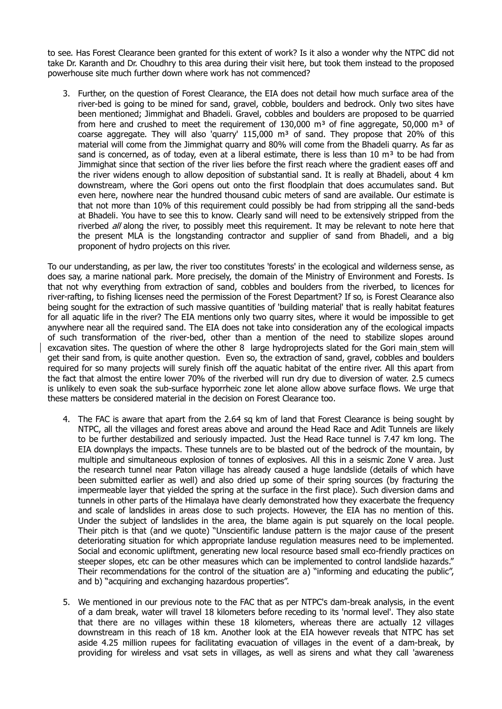to see. Has Forest Clearance been granted for this extent of work? Is it also a wonder why the NTPC did not take Dr. Karanth and Dr. Choudhry to this area during their visit here, but took them instead to the proposed powerhouse site much further down where work has not commenced?

3. Further, on the question of Forest Clearance, the EIA does not detail how much surface area of the river-bed is going to be mined for sand, gravel, cobble, boulders and bedrock. Only two sites have been mentioned; Jimmighat and Bhadeli. Gravel, cobbles and boulders are proposed to be quarried from here and crushed to meet the requirement of  $130,000$  m<sup>3</sup> of fine aggregate, 50,000 m<sup>3</sup> of coarse aggregate. They will also 'quarry'  $115,000$  m<sup>3</sup> of sand. They propose that 20% of this material will come from the Jimmighat quarry and 80% will come from the Bhadeli quarry. As far as sand is concerned, as of today, even at a liberal estimate, there is less than 10  $m<sup>3</sup>$  to be had from Jimmighat since that section of the river lies before the first reach where the gradient eases off and the river widens enough to allow deposition of substantial sand. It is really at Bhadeli, about 4 km downstream, where the Gori opens out onto the first floodplain that does accumulates sand. But even here, nowhere near the hundred thousand cubic meters of sand are available. Our estimate is that not more than 10% of this requirement could possibly be had from stripping all the sand-beds at Bhadeli. You have to see this to know. Clearly sand will need to be extensively stripped from the riverbed *all* along the river, to possibly meet this requirement. It may be relevant to note here that the present MLA is the longstanding contractor and supplier of sand from Bhadeli, and a big proponent of hydro projects on this river.

To our understanding, as per law, the river too constitutes 'forests' in the ecological and wilderness sense, as does say, a marine national park. More precisely, the domain of the Ministry of Environment and Forests. Is that not why everything from extraction of sand, cobbles and boulders from the riverbed, to licences for river-rafting, to fishing licenses need the permission of the Forest Department? If so, is Forest Clearance also being sought for the extraction of such massive quantities of 'building material' that is really habitat features for all aquatic life in the river? The EIA mentions only two quarry sites, where it would be impossible to get anywhere near all the required sand. The EIA does not take into consideration any of the ecological impacts of such transformation of the river-bed, other than a mention of the need to stabilize slopes around excavation sites. The question of where the other 8 large hydroprojects slated for the Gori main stem will get their sand from, is quite another question. Even so, the extraction of sand, gravel, cobbles and boulders required for so many projects will surely finish off the aquatic habitat of the entire river. All this apart from the fact that almost the entire lower 70% of the riverbed will run dry due to diversion of water. 2.5 cumecs is unlikely to even soak the sub-surface hyporrheic zone let alone allow above surface flows. We urge that these matters be considered material in the decision on Forest Clearance too.

- 4. The FAC is aware that apart from the 2.64 sq km of land that Forest Clearance is being sought by NTPC, all the villages and forest areas above and around the Head Race and Adit Tunnels are likely to be further destabilized and seriously impacted. Just the Head Race tunnel is 7.47 km long. The EIA downplays the impacts. These tunnels are to be blasted out of the bedrock of the mountain, by multiple and simultaneous explosion of tonnes of explosives. All this in a seismic Zone V area. Just the research tunnel near Paton village has already caused a huge landslide (details of which have been submitted earlier as well) and also dried up some of their spring sources (by fracturing the impermeable layer that yielded the spring at the surface in the first place). Such diversion dams and tunnels in other parts of the Himalaya have clearly demonstrated how they exacerbate the frequency and scale of landslides in areas close to such projects. However, the EIA has no mention of this. Under the subject of landslides in the area, the blame again is put squarely on the local people. Their pitch is that (and we quote) "Unscientific landuse pattern is the major cause of the present deteriorating situation for which appropriate landuse regulation measures need to be implemented. Social and economic upliftment, generating new local resource based small eco-friendly practices on steeper slopes, etc can be other measures which can be implemented to control landslide hazards." Their recommendations for the control of the situation are a) "informing and educating the public", and b) "acquiring and exchanging hazardous properties".
- 5. We mentioned in our previous note to the FAC that as per NTPC's dam-break analysis, in the event of a dam break, water will travel 18 kilometers before receding to its 'normal level'. They also state that there are no villages within these 18 kilometers, whereas there are actually 12 villages downstream in this reach of 18 km. Another look at the EIA however reveals that NTPC has set aside 4.25 million rupees for facilitating evacuation of villages in the event of a dam-break, by providing for wireless and vsat sets in villages, as well as sirens and what they call 'awareness